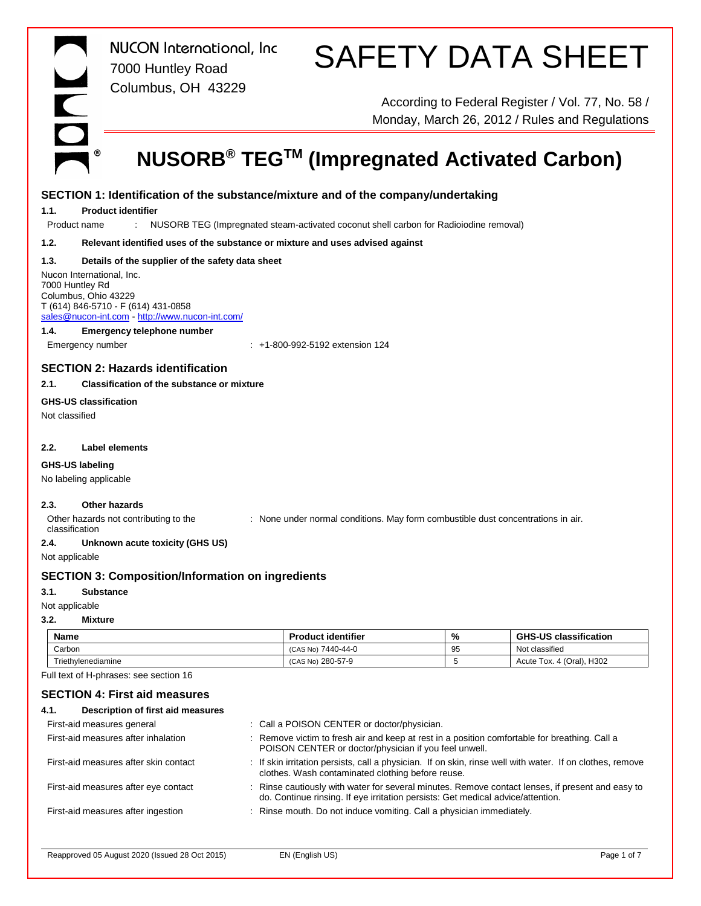|                 | <b>NUCON</b> International, Inc.<br>7000 Huntley Road                                                                                                        |                                                                                       |    | <b>SAFETY DATA SHEET</b>                                                                            |
|-----------------|--------------------------------------------------------------------------------------------------------------------------------------------------------------|---------------------------------------------------------------------------------------|----|-----------------------------------------------------------------------------------------------------|
|                 | Columbus, OH 43229                                                                                                                                           |                                                                                       |    | According to Federal Register / Vol. 77, No. 58 /<br>Monday, March 26, 2012 / Rules and Regulations |
|                 | ◉<br>NUSORB <sup>®</sup> TEG <sup>™</sup> (Impregnated Activated Carbon)                                                                                     |                                                                                       |    |                                                                                                     |
|                 | SECTION 1: Identification of the substance/mixture and of the company/undertaking                                                                            |                                                                                       |    |                                                                                                     |
| 1.1.            | <b>Product identifier</b>                                                                                                                                    |                                                                                       |    |                                                                                                     |
| Product name    | ÷.                                                                                                                                                           | NUSORB TEG (Impregnated steam-activated coconut shell carbon for Radioiodine removal) |    |                                                                                                     |
| 1.2.            | Relevant identified uses of the substance or mixture and uses advised against                                                                                |                                                                                       |    |                                                                                                     |
| 1.3.            | Details of the supplier of the safety data sheet                                                                                                             |                                                                                       |    |                                                                                                     |
| 7000 Huntley Rd | Nucon International, Inc.<br>Columbus, Ohio 43229<br>T (614) 846-5710 - F (614) 431-0858<br>sales@nucon-int.com http://www.nucon-int.com/                    |                                                                                       |    |                                                                                                     |
| 1.4.            | <b>Emergency telephone number</b>                                                                                                                            |                                                                                       |    |                                                                                                     |
|                 | Emergency number<br>: +1-800-992-5192 extension 124                                                                                                          |                                                                                       |    |                                                                                                     |
|                 | <b>SECTION 2: Hazards identification</b>                                                                                                                     |                                                                                       |    |                                                                                                     |
| 2.1.            | Classification of the substance or mixture                                                                                                                   |                                                                                       |    |                                                                                                     |
|                 | <b>GHS-US classification</b>                                                                                                                                 |                                                                                       |    |                                                                                                     |
| Not classified  |                                                                                                                                                              |                                                                                       |    |                                                                                                     |
|                 |                                                                                                                                                              |                                                                                       |    |                                                                                                     |
| 2.2.            | Label elements                                                                                                                                               |                                                                                       |    |                                                                                                     |
| GHS-US labeling |                                                                                                                                                              |                                                                                       |    |                                                                                                     |
|                 | No labeling applicable                                                                                                                                       |                                                                                       |    |                                                                                                     |
| 2.3.            | Other hazards<br>Other hazards not contributing to the<br>: None under normal conditions. May form combustible dust concentrations in air.<br>classification |                                                                                       |    |                                                                                                     |
| 2.4.            | Unknown acute toxicity (GHS US)<br>Not applicable                                                                                                            |                                                                                       |    |                                                                                                     |
|                 | <b>SECTION 3: Composition/Information on ingredients</b>                                                                                                     |                                                                                       |    |                                                                                                     |
| 3.1.            | <b>Substance</b>                                                                                                                                             |                                                                                       |    |                                                                                                     |
| Not applicable  |                                                                                                                                                              |                                                                                       |    |                                                                                                     |
| 3.2.            | <b>Mixture</b>                                                                                                                                               |                                                                                       |    |                                                                                                     |
| Name            |                                                                                                                                                              | <b>Product identifier</b>                                                             | %  | <b>GHS-US classification</b>                                                                        |
| Carbon          |                                                                                                                                                              | (CAS No) 7440-44-0                                                                    | 95 | Not classified                                                                                      |
|                 | Triethylenediamine                                                                                                                                           | (CAS No) 280-57-9                                                                     | 5  | Acute Tox. 4 (Oral), H302                                                                           |

Full text of H-phrases: see section 16

# **SECTION 4: First aid measures**

| 4.1.<br>Description of first aid measures |                                                                                                                                                                                     |
|-------------------------------------------|-------------------------------------------------------------------------------------------------------------------------------------------------------------------------------------|
| First-aid measures general                | : Call a POISON CENTER or doctor/physician.                                                                                                                                         |
| First-aid measures after inhalation       | : Remove victim to fresh air and keep at rest in a position comfortable for breathing. Call a<br>POISON CENTER or doctor/physician if you feel unwell.                              |
| First-aid measures after skin contact     | : If skin irritation persists, call a physician. If on skin, rinse well with water. If on clothes, remove<br>clothes. Wash contaminated clothing before reuse.                      |
| First-aid measures after eye contact      | : Rinse cautiously with water for several minutes. Remove contact lenses, if present and easy to<br>do. Continue rinsing. If eye irritation persists: Get medical advice/attention. |
| First-aid measures after ingestion        | : Rinse mouth. Do not induce vomiting. Call a physician immediately.                                                                                                                |
|                                           |                                                                                                                                                                                     |
|                                           |                                                                                                                                                                                     |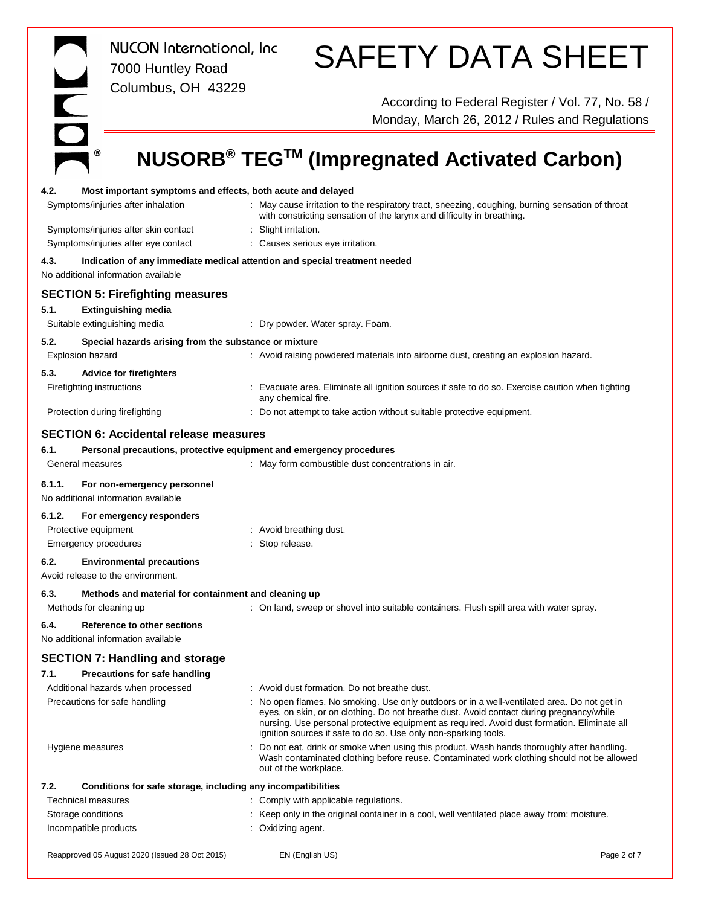|                                                                                                                                                     | <b>NUCON</b> International, Inc<br>7000 Huntley Road<br>Columbus, OH 43229                                        |                                                                        | <b>SAFETY DATA SHEET</b>                                                                                                                                                                                                                                                                                                                                |  |  |
|-----------------------------------------------------------------------------------------------------------------------------------------------------|-------------------------------------------------------------------------------------------------------------------|------------------------------------------------------------------------|---------------------------------------------------------------------------------------------------------------------------------------------------------------------------------------------------------------------------------------------------------------------------------------------------------------------------------------------------------|--|--|
| DN                                                                                                                                                  |                                                                                                                   |                                                                        | According to Federal Register / Vol. 77, No. 58 /<br>Monday, March 26, 2012 / Rules and Regulations                                                                                                                                                                                                                                                     |  |  |
|                                                                                                                                                     |                                                                                                                   |                                                                        | NUSORB <sup>®</sup> TEG <sup>™</sup> (Impregnated Activated Carbon)                                                                                                                                                                                                                                                                                     |  |  |
| 4.2.                                                                                                                                                | Most important symptoms and effects, both acute and delayed<br>Symptoms/injuries after inhalation                 |                                                                        | : May cause irritation to the respiratory tract, sneezing, coughing, burning sensation of throat<br>with constricting sensation of the larynx and difficulty in breathing.                                                                                                                                                                              |  |  |
| Symptoms/injuries after skin contact<br>Symptoms/injuries after eye contact                                                                         |                                                                                                                   | : Slight irritation.<br>: Causes serious eye irritation.               |                                                                                                                                                                                                                                                                                                                                                         |  |  |
| 4.3.                                                                                                                                                | Indication of any immediate medical attention and special treatment needed<br>No additional information available |                                                                        |                                                                                                                                                                                                                                                                                                                                                         |  |  |
|                                                                                                                                                     | <b>SECTION 5: Firefighting measures</b>                                                                           |                                                                        |                                                                                                                                                                                                                                                                                                                                                         |  |  |
| 5.1.<br>Suitable extinguishing media                                                                                                                | <b>Extinguishing media</b>                                                                                        | : Dry powder. Water spray. Foam.                                       |                                                                                                                                                                                                                                                                                                                                                         |  |  |
| 5.2.                                                                                                                                                | Special hazards arising from the substance or mixture                                                             |                                                                        |                                                                                                                                                                                                                                                                                                                                                         |  |  |
| Explosion hazard                                                                                                                                    |                                                                                                                   |                                                                        | : Avoid raising powdered materials into airborne dust, creating an explosion hazard.                                                                                                                                                                                                                                                                    |  |  |
| 5.3.                                                                                                                                                | <b>Advice for firefighters</b>                                                                                    |                                                                        |                                                                                                                                                                                                                                                                                                                                                         |  |  |
| Firefighting instructions<br>: Evacuate area. Eliminate all ignition sources if safe to do so. Exercise caution when fighting<br>any chemical fire. |                                                                                                                   |                                                                        |                                                                                                                                                                                                                                                                                                                                                         |  |  |
| Protection during firefighting                                                                                                                      |                                                                                                                   | : Do not attempt to take action without suitable protective equipment. |                                                                                                                                                                                                                                                                                                                                                         |  |  |
|                                                                                                                                                     | <b>SECTION 6: Accidental release measures</b>                                                                     |                                                                        |                                                                                                                                                                                                                                                                                                                                                         |  |  |
| 6.1.                                                                                                                                                | Personal precautions, protective equipment and emergency procedures                                               |                                                                        |                                                                                                                                                                                                                                                                                                                                                         |  |  |
| General measures                                                                                                                                    |                                                                                                                   | : May form combustible dust concentrations in air.                     |                                                                                                                                                                                                                                                                                                                                                         |  |  |
| 6.1.1.                                                                                                                                              | For non-emergency personnel<br>No additional information available                                                |                                                                        |                                                                                                                                                                                                                                                                                                                                                         |  |  |
| 6.1.2.                                                                                                                                              | For emergency responders                                                                                          |                                                                        |                                                                                                                                                                                                                                                                                                                                                         |  |  |
| Protective equipment                                                                                                                                |                                                                                                                   | : Avoid breathing dust.                                                |                                                                                                                                                                                                                                                                                                                                                         |  |  |
| Emergency procedures                                                                                                                                |                                                                                                                   | Stop release.                                                          |                                                                                                                                                                                                                                                                                                                                                         |  |  |
| 6.2.<br>Avoid release to the environment.                                                                                                           | <b>Environmental precautions</b>                                                                                  |                                                                        |                                                                                                                                                                                                                                                                                                                                                         |  |  |
| 6.3.                                                                                                                                                | Methods and material for containment and cleaning up                                                              |                                                                        |                                                                                                                                                                                                                                                                                                                                                         |  |  |
| Methods for cleaning up                                                                                                                             |                                                                                                                   |                                                                        | : On land, sweep or shovel into suitable containers. Flush spill area with water spray.                                                                                                                                                                                                                                                                 |  |  |
| 6.4.                                                                                                                                                | Reference to other sections<br>No additional information available                                                |                                                                        |                                                                                                                                                                                                                                                                                                                                                         |  |  |
|                                                                                                                                                     | <b>SECTION 7: Handling and storage</b>                                                                            |                                                                        |                                                                                                                                                                                                                                                                                                                                                         |  |  |
| 7.1.                                                                                                                                                | <b>Precautions for safe handling</b>                                                                              |                                                                        |                                                                                                                                                                                                                                                                                                                                                         |  |  |
|                                                                                                                                                     | Additional hazards when processed                                                                                 | : Avoid dust formation. Do not breathe dust.                           |                                                                                                                                                                                                                                                                                                                                                         |  |  |
| Precautions for safe handling                                                                                                                       |                                                                                                                   |                                                                        | No open flames. No smoking. Use only outdoors or in a well-ventilated area. Do not get in<br>eyes, on skin, or on clothing. Do not breathe dust. Avoid contact during pregnancy/while<br>nursing. Use personal protective equipment as required. Avoid dust formation. Eliminate all<br>ignition sources if safe to do so. Use only non-sparking tools. |  |  |
| Hygiene measures                                                                                                                                    |                                                                                                                   | out of the workplace.                                                  | Do not eat, drink or smoke when using this product. Wash hands thoroughly after handling.<br>Wash contaminated clothing before reuse. Contaminated work clothing should not be allowed                                                                                                                                                                  |  |  |
| 7.2.                                                                                                                                                | Conditions for safe storage, including any incompatibilities                                                      |                                                                        |                                                                                                                                                                                                                                                                                                                                                         |  |  |
| <b>Technical measures</b>                                                                                                                           |                                                                                                                   |                                                                        | : Comply with applicable regulations.                                                                                                                                                                                                                                                                                                                   |  |  |
| Storage conditions                                                                                                                                  |                                                                                                                   |                                                                        | Keep only in the original container in a cool, well ventilated place away from: moisture.                                                                                                                                                                                                                                                               |  |  |
| Incompatible products                                                                                                                               |                                                                                                                   | : Oxidizing agent.                                                     |                                                                                                                                                                                                                                                                                                                                                         |  |  |
|                                                                                                                                                     | Reapproved 05 August 2020 (Issued 28 Oct 2015)                                                                    | EN (English US)                                                        | Page 2 of 7                                                                                                                                                                                                                                                                                                                                             |  |  |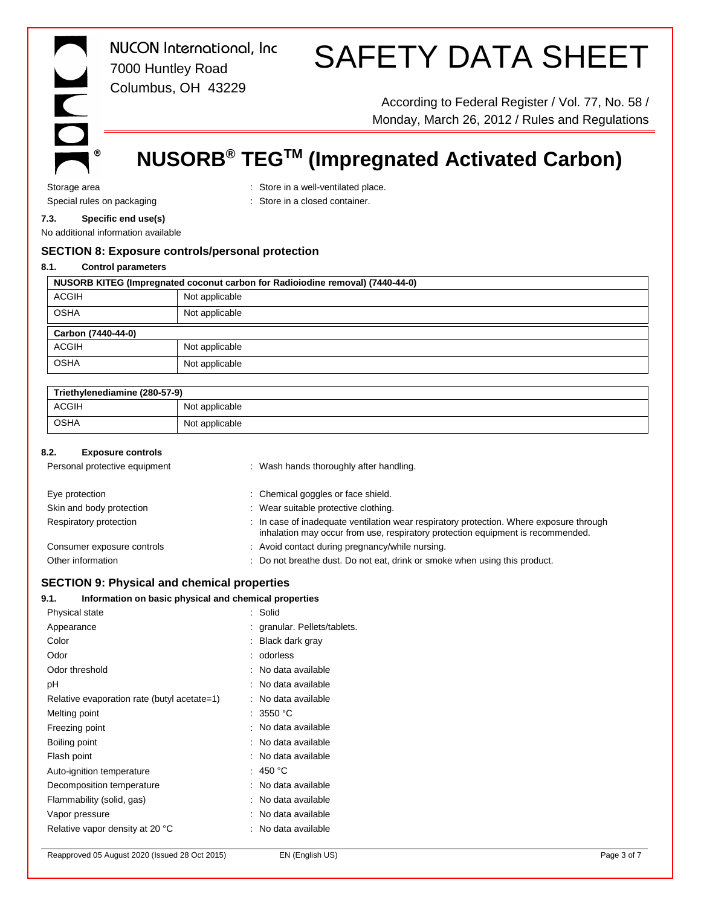

*NUCON International, Inc* 7000 Huntley Road Columbus, OH 43229

# SAFETY DATA SHEET

According to Federal Register / Vol. 77, No. 58 / Monday, March 26, 2012 / Rules and Regulations

# **NUSORB® TEGTM (Impregnated Activated Carbon)**

Storage area : Store in a well-ventilated place. Special rules on packaging **in the container** : Store in a closed container.

# **7.3. Specific end use(s)**

No additional information available

# **SECTION 8: Exposure controls/personal protection**

#### **8.1. Control parameters**

| NUSORB KITEG (Impregnated coconut carbon for Radioiodine removal) (7440-44-0) |                |  |
|-------------------------------------------------------------------------------|----------------|--|
| <b>ACGIH</b>                                                                  | Not applicable |  |
| <b>OSHA</b>                                                                   | Not applicable |  |
| Carbon (7440-44-0)                                                            |                |  |
| <b>ACGIH</b>                                                                  | Not applicable |  |
| <b>OSHA</b>                                                                   | Not applicable |  |

| Triethylenediamine (280-57-9) |                |  |
|-------------------------------|----------------|--|
| <b>ACGIH</b>                  | Not applicable |  |
| <b>OSHA</b>                   | Not applicable |  |

### **8.2. Exposure controls**

| Personal protective equipment | : Wash hands thoroughly after handling.                                                                                                                                    |
|-------------------------------|----------------------------------------------------------------------------------------------------------------------------------------------------------------------------|
| Eye protection                | : Chemical goggles or face shield.                                                                                                                                         |
| Skin and body protection      | : Wear suitable protective clothing.                                                                                                                                       |
| Respiratory protection        | : In case of inadequate ventilation wear respiratory protection. Where exposure through<br>inhalation may occur from use, respiratory protection equipment is recommended. |
| Consumer exposure controls    | : Avoid contact during pregnancy/while nursing.                                                                                                                            |
| Other information             | : Do not breathe dust. Do not eat, drink or smoke when using this product.                                                                                                 |

## **SECTION 9: Physical and chemical properties**

## **9.1. Information on basic physical and chemical properties**

| Physical state                              | : Solid                    |
|---------------------------------------------|----------------------------|
| Appearance                                  | granular. Pellets/tablets. |
| Color                                       | : Black dark gray          |
| Odor                                        | : odorless                 |
| Odor threshold                              | : No data available        |
| рH                                          | : No data available        |
| Relative evaporation rate (butyl acetate=1) | No data available<br>÷     |
| Melting point                               | : 3550 °C                  |
| Freezing point                              | : No data available        |
| Boiling point                               | : No data available        |
| Flash point                                 | : No data available        |
| Auto-ignition temperature                   | : 450 °C                   |
| Decomposition temperature                   | : No data available        |
| Flammability (solid, gas)                   | : No data available        |
| Vapor pressure                              | : No data available        |
| Relative vapor density at 20 °C             | : No data available        |
|                                             |                            |

Reapproved 05 August 2020 (Issued 28 Oct 2015) EN (English US) Page 3 of 7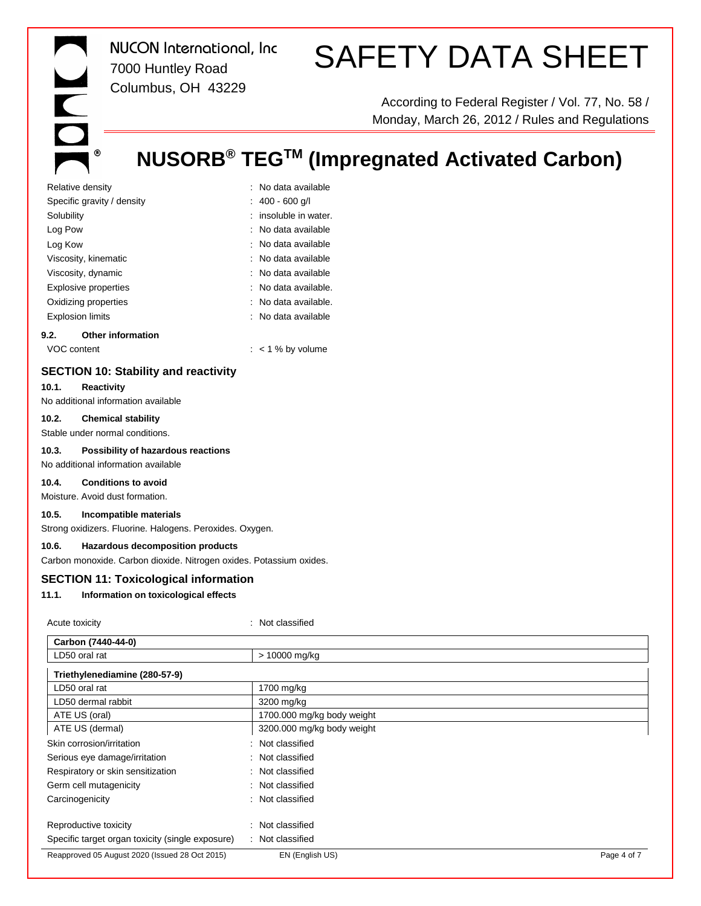INC  $^\circledR$  *NUCON International, Inc* 7000 Huntley Road Columbus, OH 43229

# SAFETY DATA SHEET

According to Federal Register / Vol. 77, No. 58 / Monday, March 26, 2012 / Rules and Regulations

# **NUSORB® TEGTM (Impregnated Activated Carbon)**

| Relative density            | : No data available   |
|-----------------------------|-----------------------|
| Specific gravity / density  | : $400 - 600$ g/l     |
| Solubility                  | : insoluble in water. |
| Log Pow                     | : No data available   |
| Log Kow                     | : No data available   |
| Viscosity, kinematic        | : No data available   |
| Viscosity, dynamic          | : No data available   |
| <b>Explosive properties</b> | : No data available.  |
| Oxidizing properties        | : No data available.  |
| <b>Explosion limits</b>     | : No data available   |
|                             |                       |

#### **9.2. Other information**

VOC content  $\cdot$   $\cdot$  1 % by volume

# **SECTION 10: Stability and reactivity**

#### **10.1. Reactivity**

No additional information available

#### **10.2. Chemical stability**

Stable under normal conditions.

#### **10.3. Possibility of hazardous reactions**

No additional information available

#### **10.4. Conditions to avoid**

Moisture. Avoid dust formation.

#### **10.5. Incompatible materials**

Strong oxidizers. Fluorine. Halogens. Peroxides. Oxygen.

## **10.6. Hazardous decomposition products**

Carbon monoxide. Carbon dioxide. Nitrogen oxides. Potassium oxides.

#### **SECTION 11: Toxicological information**

#### **11.1. Information on toxicological effects**

| Acute toxicity                                   | : Not classified           |             |
|--------------------------------------------------|----------------------------|-------------|
| Carbon (7440-44-0)                               |                            |             |
| LD50 oral rat                                    | > 10000 mg/kg              |             |
| Triethylenediamine (280-57-9)                    |                            |             |
| LD50 oral rat                                    | 1700 mg/kg                 |             |
| LD50 dermal rabbit                               | 3200 mg/kg                 |             |
| ATE US (oral)                                    | 1700.000 mg/kg body weight |             |
| ATE US (dermal)                                  | 3200.000 mg/kg body weight |             |
| Skin corrosion/irritation                        | : Not classified           |             |
| Serious eye damage/irritation                    | : Not classified           |             |
| Respiratory or skin sensitization                | : Not classified           |             |
| Germ cell mutagenicity                           | : Not classified           |             |
| Carcinogenicity                                  | : Not classified           |             |
| Reproductive toxicity                            | : Not classified           |             |
| Specific target organ toxicity (single exposure) | : Not classified           |             |
| Reapproved 05 August 2020 (Issued 28 Oct 2015)   | EN (English US)            | Page 4 of 7 |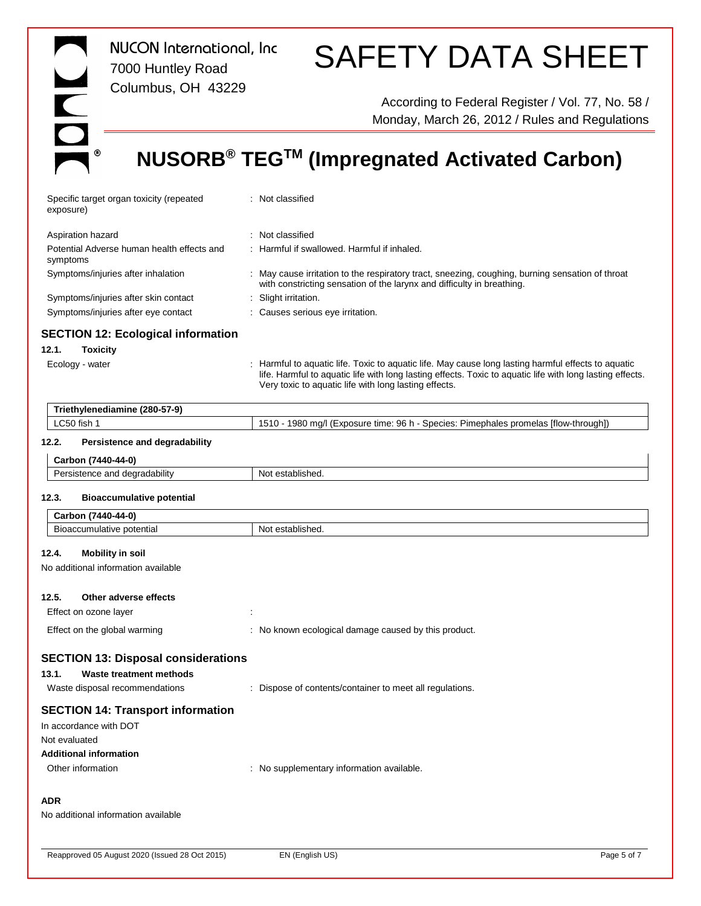| <b>NUCON</b> International, Inc.<br>7000 Huntley Road<br>Columbus, OH 43229                                                               | <b>SAFETY DATA SHEET</b>                                                                                                                                                                                                                                                  |  |  |
|-------------------------------------------------------------------------------------------------------------------------------------------|---------------------------------------------------------------------------------------------------------------------------------------------------------------------------------------------------------------------------------------------------------------------------|--|--|
| $\overline{\mathbf{C}}$                                                                                                                   | According to Federal Register / Vol. 77, No. 58 /<br>Monday, March 26, 2012 / Rules and Regulations                                                                                                                                                                       |  |  |
|                                                                                                                                           | NUSORB <sup>®</sup> TEG <sup>™</sup> (Impregnated Activated Carbon)                                                                                                                                                                                                       |  |  |
| Specific target organ toxicity (repeated<br>exposure)                                                                                     | : Not classified                                                                                                                                                                                                                                                          |  |  |
| Aspiration hazard<br>Potential Adverse human health effects and                                                                           | : Not classified<br>: Harmful if swallowed. Harmful if inhaled.                                                                                                                                                                                                           |  |  |
| symptoms<br>Symptoms/injuries after inhalation                                                                                            | : May cause irritation to the respiratory tract, sneezing, coughing, burning sensation of throat<br>with constricting sensation of the larynx and difficulty in breathing.                                                                                                |  |  |
| Symptoms/injuries after skin contact<br>Symptoms/injuries after eye contact                                                               | : Slight irritation.<br>: Causes serious eye irritation.                                                                                                                                                                                                                  |  |  |
| <b>SECTION 12: Ecological information</b><br>12.1.<br><b>Toxicity</b><br>Ecology - water                                                  | : Harmful to aquatic life. Toxic to aquatic life. May cause long lasting harmful effects to aquatic<br>life. Harmful to aquatic life with long lasting effects. Toxic to aquatic life with long lasting effects.<br>Very toxic to aquatic life with long lasting effects. |  |  |
| Triethylenediamine (280-57-9)                                                                                                             |                                                                                                                                                                                                                                                                           |  |  |
| LC50 fish 1                                                                                                                               | 1510 - 1980 mg/l (Exposure time: 96 h - Species: Pimephales promelas [flow-through])                                                                                                                                                                                      |  |  |
| Persistence and degradability<br>12.2.                                                                                                    |                                                                                                                                                                                                                                                                           |  |  |
| Carbon (7440-44-0)                                                                                                                        |                                                                                                                                                                                                                                                                           |  |  |
| Persistence and degradability                                                                                                             | Not established.                                                                                                                                                                                                                                                          |  |  |
| 12.3.<br><b>Bioaccumulative potential</b>                                                                                                 |                                                                                                                                                                                                                                                                           |  |  |
| Carbon (7440-44-0)                                                                                                                        |                                                                                                                                                                                                                                                                           |  |  |
| Bioaccumulative potential                                                                                                                 | Not established.                                                                                                                                                                                                                                                          |  |  |
| 12.4.<br><b>Mobility in soil</b><br>No additional information available                                                                   |                                                                                                                                                                                                                                                                           |  |  |
| 12.5.<br>Other adverse effects<br>Effect on ozone layer                                                                                   | Î.                                                                                                                                                                                                                                                                        |  |  |
| Effect on the global warming                                                                                                              | : No known ecological damage caused by this product.                                                                                                                                                                                                                      |  |  |
| <b>SECTION 13: Disposal considerations</b><br>13.1.<br>Waste treatment methods<br>Waste disposal recommendations                          | : Dispose of contents/container to meet all regulations.                                                                                                                                                                                                                  |  |  |
| <b>SECTION 14: Transport information</b><br>In accordance with DOT<br>Not evaluated<br><b>Additional information</b><br>Other information | : No supplementary information available.                                                                                                                                                                                                                                 |  |  |
| <b>ADR</b><br>No additional information available                                                                                         |                                                                                                                                                                                                                                                                           |  |  |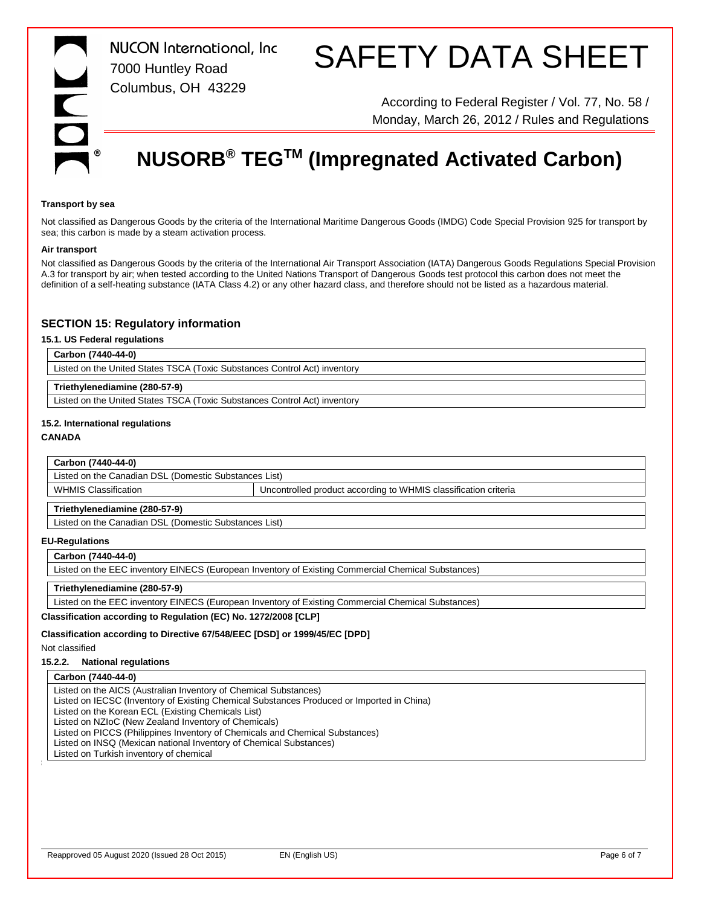

*NUCON International, Inc* 7000 Huntley Road Columbus, OH 43229

# SAFETY DATA SHEET

According to Federal Register / Vol. 77, No. 58 / Monday, March 26, 2012 / Rules and Regulations

# **NUSORB® TEGTM (Impregnated Activated Carbon)**

#### **Transport by sea**

Not classified as Dangerous Goods by the criteria of the International Maritime Dangerous Goods (IMDG) Code Special Provision 925 for transport by sea; this carbon is made by a steam activation process.

#### **Air transport**

Not classified as Dangerous Goods by the criteria of the International Air Transport Association (IATA) Dangerous Goods Regulations Special Provision A.3 for transport by air; when tested according to the United Nations Transport of Dangerous Goods test protocol this carbon does not meet the definition of a self-heating substance (IATA Class 4.2) or any other hazard class, and therefore should not be listed as a hazardous material.

#### **SECTION 15: Regulatory information**

#### **15.1. US Federal regulations**

#### **Carbon (7440-44-0)**

Listed on the United States TSCA (Toxic Substances Control Act) inventory

#### **Triethylenediamine (280-57-9)**

Listed on the United States TSCA (Toxic Substances Control Act) inventory

#### **15.2. International regulations**

#### **CANADA**

#### **Carbon (7440-44-0)**

Listed on the Canadian DSL (Domestic Substances List)

WHMIS Classification **VERGON CONTROLLED 1** Uncontrolled product according to WHMIS classification criteria

#### **Triethylenediamine (280-57-9)**

Listed on the Canadian DSL (Domestic Substances List)

#### **EU-Regulations**

**Carbon (7440-44-0)**

Listed on the EEC inventory EINECS (European Inventory of Existing Commercial Chemical Substances)

#### **Triethylenediamine (280-57-9)**

Listed on the EEC inventory EINECS (European Inventory of Existing Commercial Chemical Substances)

**Classification according to Regulation (EC) No. 1272/2008 [CLP]**

## **Classification according to Directive 67/548/EEC [DSD] or 1999/45/EC [DPD]**

## Not classified

# **15.2.2. National regulations**

## **Carbon (7440-44-0)**

Listed on the AICS (Australian Inventory of Chemical Substances)

Listed on IECSC (Inventory of Existing Chemical Substances Produced or Imported in China)

Listed on the Korean ECL (Existing Chemicals List)

Listed on NZIoC (New Zealand Inventory of Chemicals)

Listed on PICCS (Philippines Inventory of Chemicals and Chemical Substances)

Listed on INSQ (Mexican national Inventory of Chemical Substances)

Listed on Turkish inventory of chemical